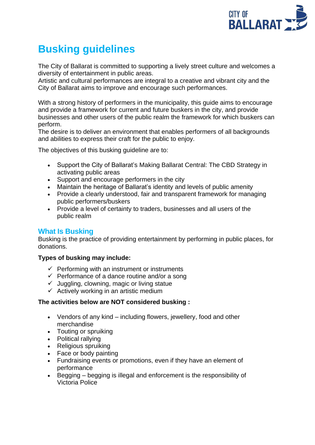

# **Busking guidelines**

The City of Ballarat is committed to supporting a lively street culture and welcomes a diversity of entertainment in public areas.

Artistic and cultural performances are integral to a creative and vibrant city and the City of Ballarat aims to improve and encourage such performances.

With a strong history of performers in the municipality, this guide aims to encourage and provide a framework for current and future buskers in the city, and provide businesses and other users of the public realm the framework for which buskers can perform.

The desire is to deliver an environment that enables performers of all backgrounds and abilities to express their craft for the public to enjoy.

The objectives of this busking guideline are to:

- Support the City of Ballarat's Making Ballarat Central: The CBD Strategy in activating public areas
- Support and encourage performers in the city
- Maintain the heritage of Ballarat's identity and levels of public amenity
- Provide a clearly understood, fair and transparent framework for managing public performers/buskers
- Provide a level of certainty to traders, businesses and all users of the public realm

# **What Is Busking**

Busking is the practice of providing entertainment by performing in public places, for donations.

# **Types of busking may include:**

- $\checkmark$  Performing with an instrument or instruments
- $\checkmark$  Performance of a dance routine and/or a song
- $\checkmark$  Juggling, clowning, magic or living statue
- $\checkmark$  Actively working in an artistic medium

# **The activities below are NOT considered busking :**

- Vendors of any kind including flowers, jewellery, food and other merchandise
- Touting or spruiking
- Political rallying
- Religious spruiking
- Face or body painting
- Fundraising events or promotions, even if they have an element of performance
- Begging begging is illegal and enforcement is the responsibility of Victoria Police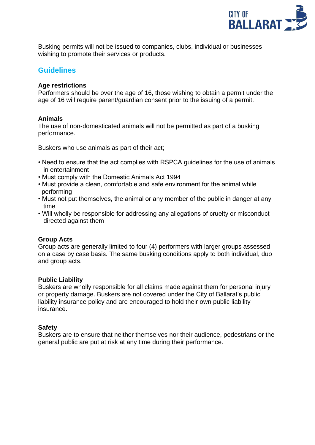

Busking permits will not be issued to companies, clubs, individual or businesses wishing to promote their services or products.

# **Guidelines**

# **Age restrictions**

Performers should be over the age of 16, those wishing to obtain a permit under the age of 16 will require parent/guardian consent prior to the issuing of a permit.

#### **Animals**

The use of non-domesticated animals will not be permitted as part of a busking performance.

Buskers who use animals as part of their act;

- Need to ensure that the act complies with RSPCA guidelines for the use of animals in entertainment
- Must comply with the Domestic Animals Act 1994
- Must provide a clean, comfortable and safe environment for the animal while performing
- Must not put themselves, the animal or any member of the public in danger at any time
- Will wholly be responsible for addressing any allegations of cruelty or misconduct directed against them

# **Group Acts**

Group acts are generally limited to four (4) performers with larger groups assessed on a case by case basis. The same busking conditions apply to both individual, duo and group acts.

#### **Public Liability**

Buskers are wholly responsible for all claims made against them for personal injury or property damage. Buskers are not covered under the City of Ballarat's public liability insurance policy and are encouraged to hold their own public liability insurance.

#### **Safety**

Buskers are to ensure that neither themselves nor their audience, pedestrians or the general public are put at risk at any time during their performance.